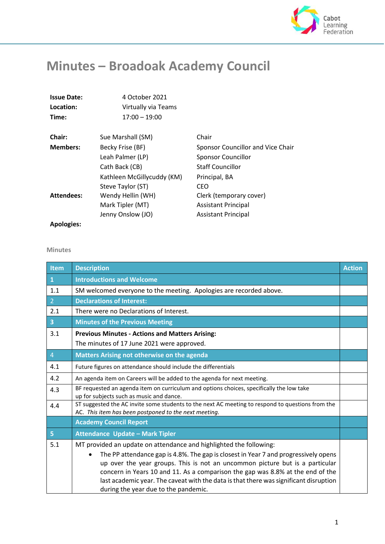

## **Minutes – Broadoak Academy Council**

| <b>Issue Date:</b> | 4 October 2021             |                                   |
|--------------------|----------------------------|-----------------------------------|
| Location:          | Virtually via Teams        |                                   |
| Time:              | $17:00 - 19:00$            |                                   |
| <b>Chair:</b>      | Sue Marshall (SM)          | Chair                             |
| <b>Members:</b>    | Becky Frise (BF)           | Sponsor Councillor and Vice Chair |
|                    | Leah Palmer (LP)           | <b>Sponsor Councillor</b>         |
|                    | Cath Back (CB)             | <b>Staff Councillor</b>           |
|                    | Kathleen McGillycuddy (KM) | Principal, BA                     |
|                    | Steve Taylor (ST)          | CEO                               |
| <b>Attendees:</b>  | Wendy Hellin (WH)          | Clerk (temporary cover)           |
|                    | Mark Tipler (MT)           | <b>Assistant Principal</b>        |
|                    | Jenny Onslow (JO)          | <b>Assistant Principal</b>        |
| <b>Apologies:</b>  |                            |                                   |

## **Minutes**

| Item                    | <b>Description</b>                                                                                                                                                                                                                                                                                                                                                                                                                                                        | <b>Action</b> |
|-------------------------|---------------------------------------------------------------------------------------------------------------------------------------------------------------------------------------------------------------------------------------------------------------------------------------------------------------------------------------------------------------------------------------------------------------------------------------------------------------------------|---------------|
| $\mathbf{1}$            | <b>Introductions and Welcome</b>                                                                                                                                                                                                                                                                                                                                                                                                                                          |               |
| 1.1                     | SM welcomed everyone to the meeting. Apologies are recorded above.                                                                                                                                                                                                                                                                                                                                                                                                        |               |
| 2 <sup>1</sup>          | <b>Declarations of Interest:</b>                                                                                                                                                                                                                                                                                                                                                                                                                                          |               |
| 2.1                     | There were no Declarations of Interest.                                                                                                                                                                                                                                                                                                                                                                                                                                   |               |
| $\overline{\mathbf{3}}$ | <b>Minutes of the Previous Meeting</b>                                                                                                                                                                                                                                                                                                                                                                                                                                    |               |
| 3.1                     | <b>Previous Minutes - Actions and Matters Arising:</b>                                                                                                                                                                                                                                                                                                                                                                                                                    |               |
|                         | The minutes of 17 June 2021 were approved.                                                                                                                                                                                                                                                                                                                                                                                                                                |               |
| $\overline{4}$          | Matters Arising not otherwise on the agenda                                                                                                                                                                                                                                                                                                                                                                                                                               |               |
| 4.1                     | Future figures on attendance should include the differentials                                                                                                                                                                                                                                                                                                                                                                                                             |               |
| 4.2                     | An agenda item on Careers will be added to the agenda for next meeting.                                                                                                                                                                                                                                                                                                                                                                                                   |               |
| 4.3                     | BF requested an agenda item on curriculum and options choices, specifically the low take<br>up for subjects such as music and dance.                                                                                                                                                                                                                                                                                                                                      |               |
| 4.4                     | ST suggested the AC invite some students to the next AC meeting to respond to questions from the<br>AC. This item has been postponed to the next meeting.                                                                                                                                                                                                                                                                                                                 |               |
|                         | <b>Academy Council Report</b>                                                                                                                                                                                                                                                                                                                                                                                                                                             |               |
| 5                       | <b>Attendance Update - Mark Tipler</b>                                                                                                                                                                                                                                                                                                                                                                                                                                    |               |
| 5.1                     | MT provided an update on attendance and highlighted the following:<br>The PP attendance gap is 4.8%. The gap is closest in Year 7 and progressively opens<br>$\bullet$<br>up over the year groups. This is not an uncommon picture but is a particular<br>concern in Years 10 and 11. As a comparison the gap was 8.8% at the end of the<br>last academic year. The caveat with the data is that there was significant disruption<br>during the year due to the pandemic. |               |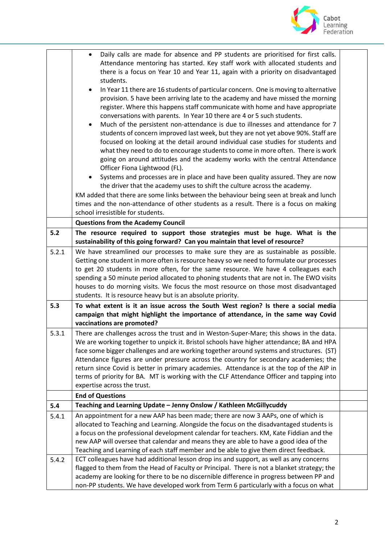

|       | Daily calls are made for absence and PP students are prioritised for first calls.<br>Attendance mentoring has started. Key staff work with allocated students and<br>there is a focus on Year 10 and Year 11, again with a priority on disadvantaged<br>students.                                                                                                                                                                                                                                                                                                                                |  |
|-------|--------------------------------------------------------------------------------------------------------------------------------------------------------------------------------------------------------------------------------------------------------------------------------------------------------------------------------------------------------------------------------------------------------------------------------------------------------------------------------------------------------------------------------------------------------------------------------------------------|--|
|       | In Year 11 there are 16 students of particular concern. One is moving to alternative<br>provision. 5 have been arriving late to the academy and have missed the morning<br>register. Where this happens staff communicate with home and have appropriate<br>conversations with parents. In Year 10 there are 4 or 5 such students.                                                                                                                                                                                                                                                               |  |
|       | Much of the persistent non-attendance is due to illnesses and attendance for 7<br>students of concern improved last week, but they are not yet above 90%. Staff are<br>focused on looking at the detail around individual case studies for students and<br>what they need to do to encourage students to come in more often. There is work<br>going on around attitudes and the academy works with the central Attendance<br>Officer Fiona Lightwood (FL).                                                                                                                                       |  |
|       | Systems and processes are in place and have been quality assured. They are now<br>$\bullet$<br>the driver that the academy uses to shift the culture across the academy.                                                                                                                                                                                                                                                                                                                                                                                                                         |  |
|       | KM added that there are some links between the behaviour being seen at break and lunch<br>times and the non-attendance of other students as a result. There is a focus on making<br>school irresistible for students.                                                                                                                                                                                                                                                                                                                                                                            |  |
|       | <b>Questions from the Academy Council</b>                                                                                                                                                                                                                                                                                                                                                                                                                                                                                                                                                        |  |
| 5.2   | The resource required to support those strategies must be huge. What is the<br>sustainability of this going forward? Can you maintain that level of resource?                                                                                                                                                                                                                                                                                                                                                                                                                                    |  |
| 5.2.1 | We have streamlined our processes to make sure they are as sustainable as possible.<br>Getting one student in more often is resource heavy so we need to formulate our processes<br>to get 20 students in more often, for the same resource. We have 4 colleagues each<br>spending a 50 minute period allocated to phoning students that are not in. The EWO visits<br>houses to do morning visits. We focus the most resource on those most disadvantaged<br>students. It is resource heavy but is an absolute priority.                                                                        |  |
| 5.3   | To what extent is it an issue across the South West region? Is there a social media<br>campaign that might highlight the importance of attendance, in the same way Covid<br>vaccinations are promoted?                                                                                                                                                                                                                                                                                                                                                                                           |  |
| 5.3.1 | There are challenges across the trust and in Weston-Super-Mare; this shows in the data.<br>We are working together to unpick it. Bristol schools have higher attendance; BA and HPA<br>face some bigger challenges and are working together around systems and structures. (ST)<br>Attendance figures are under pressure across the country for secondary academies; the<br>return since Covid is better in primary academies. Attendance is at the top of the AIP in<br>terms of priority for BA. MT is working with the CLF Attendance Officer and tapping into<br>expertise across the trust. |  |
|       | <b>End of Questions</b>                                                                                                                                                                                                                                                                                                                                                                                                                                                                                                                                                                          |  |
| 5.4   | Teaching and Learning Update - Jenny Onslow / Kathleen McGillycuddy                                                                                                                                                                                                                                                                                                                                                                                                                                                                                                                              |  |
| 5.4.1 | An appointment for a new AAP has been made; there are now 3 AAPs, one of which is<br>allocated to Teaching and Learning. Alongside the focus on the disadvantaged students is<br>a focus on the professional development calendar for teachers. KM, Kate Fiddian and the<br>new AAP will oversee that calendar and means they are able to have a good idea of the<br>Teaching and Learning of each staff member and be able to give them direct feedback.                                                                                                                                        |  |
| 5.4.2 | ECT colleagues have had additional lesson drop ins and support, as well as any concerns<br>flagged to them from the Head of Faculty or Principal. There is not a blanket strategy; the<br>academy are looking for there to be no discernible difference in progress between PP and<br>non-PP students. We have developed work from Term 6 particularly with a focus on what                                                                                                                                                                                                                      |  |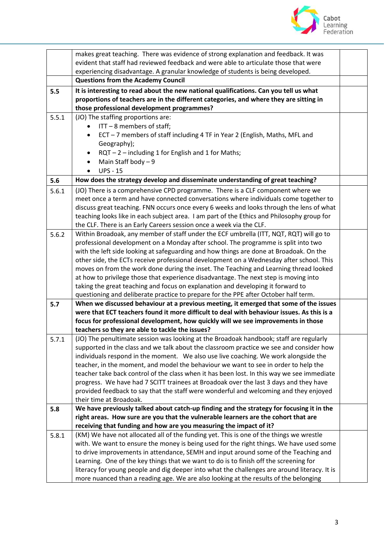

|       | makes great teaching. There was evidence of strong explanation and feedback. It was                                                                                     |  |
|-------|-------------------------------------------------------------------------------------------------------------------------------------------------------------------------|--|
|       | evident that staff had reviewed feedback and were able to articulate those that were                                                                                    |  |
|       | experiencing disadvantage. A granular knowledge of students is being developed.                                                                                         |  |
|       | <b>Questions from the Academy Council</b>                                                                                                                               |  |
| 5.5   | It is interesting to read about the new national qualifications. Can you tell us what                                                                                   |  |
|       | proportions of teachers are in the different categories, and where they are sitting in                                                                                  |  |
|       | those professional development programmes?                                                                                                                              |  |
| 5.5.1 | (JO) The staffing proportions are:                                                                                                                                      |  |
|       | $IT - 8$ members of staff;                                                                                                                                              |  |
|       | ECT - 7 members of staff including 4 TF in Year 2 (English, Maths, MFL and<br>$\bullet$                                                                                 |  |
|       | Geography);                                                                                                                                                             |  |
|       | $RQT - 2 - including 1 for English and 1 for Maths;$                                                                                                                    |  |
|       | Main Staff body - 9<br>$\bullet$                                                                                                                                        |  |
|       | <b>UPS - 15</b>                                                                                                                                                         |  |
| 5.6   | How does the strategy develop and disseminate understanding of great teaching?                                                                                          |  |
| 5.6.1 | (JO) There is a comprehensive CPD programme. There is a CLF component where we                                                                                          |  |
|       | meet once a term and have connected conversations where individuals come together to                                                                                    |  |
|       | discuss great teaching. FNN occurs once every 6 weeks and looks through the lens of what                                                                                |  |
|       | teaching looks like in each subject area. I am part of the Ethics and Philosophy group for                                                                              |  |
|       | the CLF. There is an Early Careers session once a week via the CLF.                                                                                                     |  |
| 5.6.2 | Within Broadoak, any member of staff under the ECF umbrella (ITT, NQT, RQT) will go to                                                                                  |  |
|       | professional development on a Monday after school. The programme is split into two                                                                                      |  |
|       | with the left side looking at safeguarding and how things are done at Broadoak. On the                                                                                  |  |
|       | other side, the ECTs receive professional development on a Wednesday after school. This                                                                                 |  |
|       | moves on from the work done during the inset. The Teaching and Learning thread looked                                                                                   |  |
|       | at how to privilege those that experience disadvantage. The next step is moving into<br>taking the great teaching and focus on explanation and developing it forward to |  |
|       | questioning and deliberate practice to prepare for the PPE after October half term.                                                                                     |  |
| 5.7   | When we discussed behaviour at a previous meeting, it emerged that some of the issues                                                                                   |  |
|       | were that ECT teachers found it more difficult to deal with behaviour issues. As this is a                                                                              |  |
|       | focus for professional development, how quickly will we see improvements in those                                                                                       |  |
|       | teachers so they are able to tackle the issues?                                                                                                                         |  |
| 5.7.1 | (JO) The penultimate session was looking at the Broadoak handbook; staff are regularly                                                                                  |  |
|       | supported in the class and we talk about the classroom practice we see and consider how                                                                                 |  |
|       | individuals respond in the moment. We also use live coaching. We work alongside the                                                                                     |  |
|       | teacher, in the moment, and model the behaviour we want to see in order to help the                                                                                     |  |
|       | teacher take back control of the class when it has been lost. In this way we see immediate                                                                              |  |
|       | progress. We have had 7 SCITT trainees at Broadoak over the last 3 days and they have                                                                                   |  |
|       | provided feedback to say that the staff were wonderful and welcoming and they enjoyed                                                                                   |  |
|       | their time at Broadoak.                                                                                                                                                 |  |
| 5.8   | We have previously talked about catch-up finding and the strategy for focusing it in the                                                                                |  |
|       | right areas. How sure are you that the vulnerable learners are the cohort that are                                                                                      |  |
|       | receiving that funding and how are you measuring the impact of it?                                                                                                      |  |
| 5.8.1 | (KM) We have not allocated all of the funding yet. This is one of the things we wrestle                                                                                 |  |
|       | with. We want to ensure the money is being used for the right things. We have used some                                                                                 |  |
|       | to drive improvements in attendance, SEMH and input around some of the Teaching and                                                                                     |  |
|       | Learning. One of the key things that we want to do is to finish off the screening for                                                                                   |  |
|       | literacy for young people and dig deeper into what the challenges are around literacy. It is                                                                            |  |
|       | more nuanced than a reading age. We are also looking at the results of the belonging                                                                                    |  |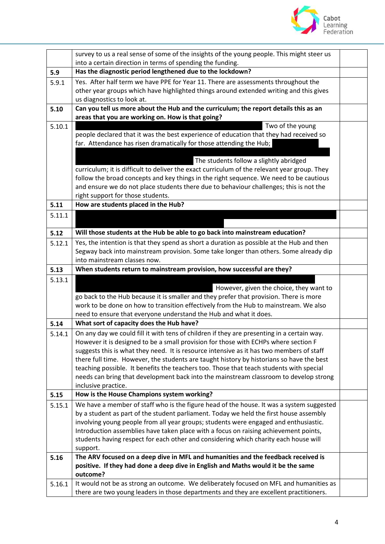

|        | survey to us a real sense of some of the insights of the young people. This might steer us                                                                                          |  |
|--------|-------------------------------------------------------------------------------------------------------------------------------------------------------------------------------------|--|
|        | into a certain direction in terms of spending the funding.                                                                                                                          |  |
| 5.9    | Has the diagnostic period lengthened due to the lockdown?                                                                                                                           |  |
| 5.9.1  | Yes. After half term we have PPE for Year 11. There are assessments throughout the                                                                                                  |  |
|        | other year groups which have highlighted things around extended writing and this gives                                                                                              |  |
|        | us diagnostics to look at.                                                                                                                                                          |  |
| 5.10   | Can you tell us more about the Hub and the curriculum; the report details this as an                                                                                                |  |
|        | areas that you are working on. How is that going?<br>Two of the young                                                                                                               |  |
| 5.10.1 | people declared that it was the best experience of education that they had received so                                                                                              |  |
|        | far. Attendance has risen dramatically for those attending the Hub;                                                                                                                 |  |
|        |                                                                                                                                                                                     |  |
|        | The students follow a slightly abridged                                                                                                                                             |  |
|        | curriculum; it is difficult to deliver the exact curriculum of the relevant year group. They                                                                                        |  |
|        | follow the broad concepts and key things in the right sequence. We need to be cautious                                                                                              |  |
|        | and ensure we do not place students there due to behaviour challenges; this is not the                                                                                              |  |
|        | right support for those students.                                                                                                                                                   |  |
| 5.11   | How are students placed in the Hub?                                                                                                                                                 |  |
| 5.11.1 |                                                                                                                                                                                     |  |
| 5.12   | Will those students at the Hub be able to go back into mainstream education?                                                                                                        |  |
| 5.12.1 | Yes, the intention is that they spend as short a duration as possible at the Hub and then                                                                                           |  |
|        | Segway back into mainstream provision. Some take longer than others. Some already dip                                                                                               |  |
|        | into mainstream classes now.                                                                                                                                                        |  |
| 5.13   | When students return to mainstream provision, how successful are they?                                                                                                              |  |
| 5.13.1 |                                                                                                                                                                                     |  |
|        | However, given the choice, they want to                                                                                                                                             |  |
|        | go back to the Hub because it is smaller and they prefer that provision. There is more                                                                                              |  |
|        |                                                                                                                                                                                     |  |
|        | work to be done on how to transition effectively from the Hub to mainstream. We also                                                                                                |  |
|        | need to ensure that everyone understand the Hub and what it does.                                                                                                                   |  |
| 5.14   | What sort of capacity does the Hub have?                                                                                                                                            |  |
| 5.14.1 | On any day we could fill it with tens of children if they are presenting in a certain way.                                                                                          |  |
|        | However it is designed to be a small provision for those with ECHPs where section F                                                                                                 |  |
|        | suggests this is what they need. It is resource intensive as it has two members of staff                                                                                            |  |
|        | there full time. However, the students are taught history by historians so have the best<br>teaching possible. It benefits the teachers too. Those that teach students with special |  |
|        | needs can bring that development back into the mainstream classroom to develop strong                                                                                               |  |
|        | inclusive practice.                                                                                                                                                                 |  |
| 5.15   | How is the House Champions system working?                                                                                                                                          |  |
| 5.15.1 | We have a member of staff who is the figure head of the house. It was a system suggested                                                                                            |  |
|        | by a student as part of the student parliament. Today we held the first house assembly                                                                                              |  |
|        | involving young people from all year groups; students were engaged and enthusiastic.                                                                                                |  |
|        | Introduction assemblies have taken place with a focus on raising achievement points,                                                                                                |  |
|        | students having respect for each other and considering which charity each house will                                                                                                |  |
|        | support.                                                                                                                                                                            |  |
| 5.16   | The ARV focused on a deep dive in MFL and humanities and the feedback received is                                                                                                   |  |
|        | positive. If they had done a deep dive in English and Maths would it be the same<br>outcome?                                                                                        |  |
| 5.16.1 | It would not be as strong an outcome. We deliberately focused on MFL and humanities as                                                                                              |  |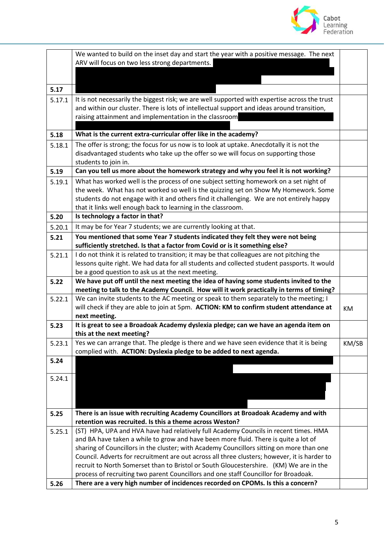

|        | We wanted to build on the inset day and start the year with a positive message. The next<br>ARV will focus on two less strong departments.                                     |       |
|--------|--------------------------------------------------------------------------------------------------------------------------------------------------------------------------------|-------|
|        |                                                                                                                                                                                |       |
| 5.17   |                                                                                                                                                                                |       |
| 5.17.1 | It is not necessarily the biggest risk; we are well supported with expertise across the trust                                                                                  |       |
|        | and within our cluster. There is lots of intellectual support and ideas around transition,                                                                                     |       |
|        | raising attainment and implementation in the classroom                                                                                                                         |       |
|        | What is the current extra-curricular offer like in the academy?                                                                                                                |       |
| 5.18   |                                                                                                                                                                                |       |
| 5.18.1 | The offer is strong; the focus for us now is to look at uptake. Anecdotally it is not the<br>disadvantaged students who take up the offer so we will focus on supporting those |       |
|        | students to join in.                                                                                                                                                           |       |
| 5.19   | Can you tell us more about the homework strategy and why you feel it is not working?                                                                                           |       |
| 5.19.1 | What has worked well is the process of one subject setting homework on a set night of                                                                                          |       |
|        | the week. What has not worked so well is the quizzing set on Show My Homework. Some                                                                                            |       |
|        | students do not engage with it and others find it challenging. We are not entirely happy                                                                                       |       |
|        | that it links well enough back to learning in the classroom.                                                                                                                   |       |
| 5.20   | Is technology a factor in that?                                                                                                                                                |       |
| 5.20.1 | It may be for Year 7 students; we are currently looking at that.                                                                                                               |       |
| 5.21   | You mentioned that some Year 7 students indicated they felt they were not being                                                                                                |       |
|        | sufficiently stretched. Is that a factor from Covid or is it something else?                                                                                                   |       |
| 5.21.1 | I do not think it is related to transition; it may be that colleagues are not pitching the                                                                                     |       |
|        | lessons quite right. We had data for all students and collected student passports. It would                                                                                    |       |
| 5.22   | be a good question to ask us at the next meeting.<br>We have put off until the next meeting the idea of having some students invited to the                                    |       |
|        | meeting to talk to the Academy Council. How will it work practically in terms of timing?                                                                                       |       |
| 5.22.1 | We can invite students to the AC meeting or speak to them separately to the meeting; I                                                                                         |       |
|        | will check if they are able to join at 5pm. ACTION: KM to confirm student attendance at                                                                                        | KM    |
|        | next meeting.                                                                                                                                                                  |       |
| 5.23   | It is great to see a Broadoak Academy dyslexia pledge; can we have an agenda item on                                                                                           |       |
|        | this at the next meeting?                                                                                                                                                      |       |
| 5.23.1 | Yes we can arrange that. The pledge is there and we have seen evidence that it is being<br>complied with. ACTION: Dyslexia pledge to be added to next agenda.                  | KM/SB |
| 5.24   |                                                                                                                                                                                |       |
|        |                                                                                                                                                                                |       |
| 5.24.1 |                                                                                                                                                                                |       |
|        |                                                                                                                                                                                |       |
|        |                                                                                                                                                                                |       |
|        |                                                                                                                                                                                |       |
| 5.25   | There is an issue with recruiting Academy Councillors at Broadoak Academy and with                                                                                             |       |
|        | retention was recruited. Is this a theme across Weston?<br>(ST) HPA, UPA and HVA have had relatively full Academy Councils in recent times. HMA                                |       |
| 5.25.1 | and BA have taken a while to grow and have been more fluid. There is quite a lot of                                                                                            |       |
|        | sharing of Councillors in the cluster; with Academy Councillors sitting on more than one                                                                                       |       |
|        | Council. Adverts for recruitment are out across all three clusters; however, it is harder to                                                                                   |       |
|        | recruit to North Somerset than to Bristol or South Gloucestershire. (KM) We are in the                                                                                         |       |
|        | process of recruiting two parent Councillors and one staff Councillor for Broadoak.                                                                                            |       |
| 5.26   | There are a very high number of incidences recorded on CPOMs. Is this a concern?                                                                                               |       |